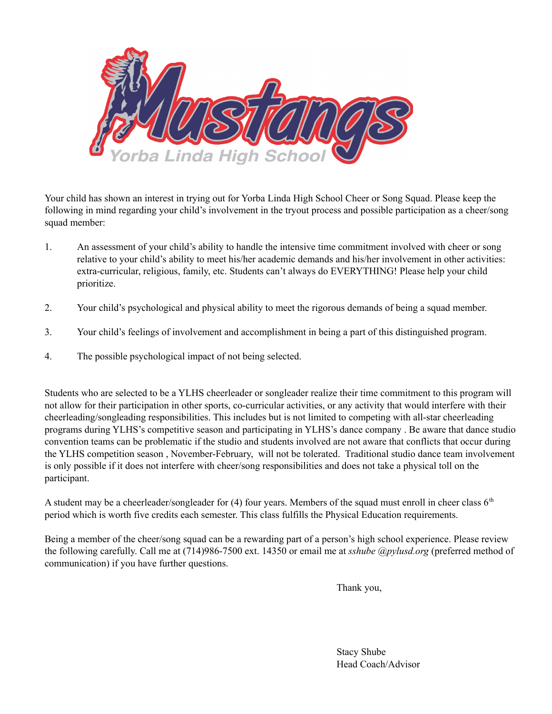

Your child has shown an interest in trying out for Yorba Linda High School Cheer or Song Squad. Please keep the following in mind regarding your child's involvement in the tryout process and possible participation as a cheer/song squad member:

- 1. An assessment of your child's ability to handle the intensive time commitment involved with cheer or song relative to your child's ability to meet his/her academic demands and his/her involvement in other activities: extra-curricular, religious, family, etc. Students can't always do EVERYTHING! Please help your child prioritize.
- 2. Your child's psychological and physical ability to meet the rigorous demands of being a squad member.
- 3. Your child's feelings of involvement and accomplishment in being a part of this distinguished program.
- 4. The possible psychological impact of not being selected.

Students who are selected to be a YLHS cheerleader or songleader realize their time commitment to this program will not allow for their participation in other sports, co-curricular activities, or any activity that would interfere with their cheerleading/songleading responsibilities. This includes but is not limited to competing with all-star cheerleading programs during YLHS's competitive season and participating in YLHS's dance company . Be aware that dance studio convention teams can be problematic if the studio and students involved are not aware that conflicts that occur during the YLHS competition season , November-February, will not be tolerated. Traditional studio dance team involvement is only possible if it does not interfere with cheer/song responsibilities and does not take a physical toll on the participant.

A student may be a cheerleader/songleader for  $(4)$  four years. Members of the squad must enroll in cheer class  $6<sup>th</sup>$ period which is worth five credits each semester. This class fulfills the Physical Education requirements.

Being a member of the cheer/song squad can be a rewarding part of a person's high school experience. Please review the following carefully. Call me at (714)986-7500 ext. 14350 or email me at *sshube @pylusd.org* (preferred method of communication) if you have further questions.

Thank you,

Stacy Shube Head Coach/Advisor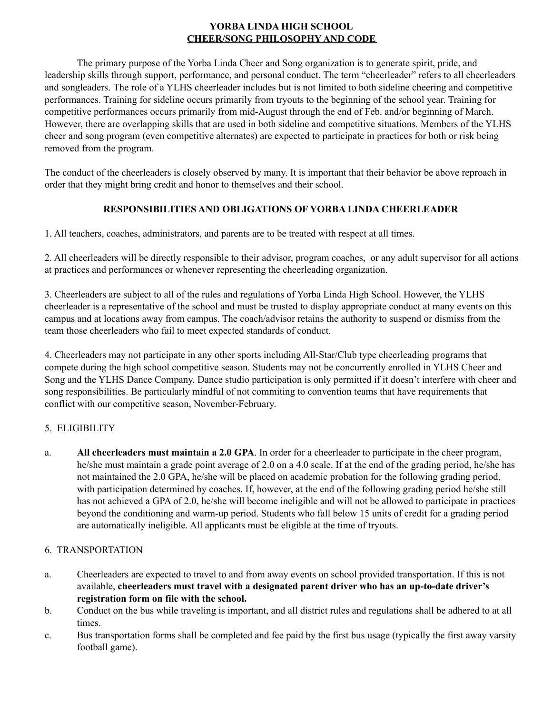# **YORBA LINDA HIGH SCHOOL CHEER/SONG PHILOSOPHY AND CODE**

The primary purpose of the Yorba Linda Cheer and Song organization is to generate spirit, pride, and leadership skills through support, performance, and personal conduct. The term "cheerleader" refers to all cheerleaders and songleaders. The role of a YLHS cheerleader includes but is not limited to both sideline cheering and competitive performances. Training for sideline occurs primarily from tryouts to the beginning of the school year. Training for competitive performances occurs primarily from mid-August through the end of Feb. and/or beginning of March. However, there are overlapping skills that are used in both sideline and competitive situations. Members of the YLHS cheer and song program (even competitive alternates) are expected to participate in practices for both or risk being removed from the program.

The conduct of the cheerleaders is closely observed by many. It is important that their behavior be above reproach in order that they might bring credit and honor to themselves and their school.

# **RESPONSIBILITIES AND OBLIGATIONS OF YORBA LINDA CHEERLEADER**

1. All teachers, coaches, administrators, and parents are to be treated with respect at all times.

2. All cheerleaders will be directly responsible to their advisor, program coaches, or any adult supervisor for all actions at practices and performances or whenever representing the cheerleading organization.

3. Cheerleaders are subject to all of the rules and regulations of Yorba Linda High School. However, the YLHS cheerleader is a representative of the school and must be trusted to display appropriate conduct at many events on this campus and at locations away from campus. The coach/advisor retains the authority to suspend or dismiss from the team those cheerleaders who fail to meet expected standards of conduct.

4. Cheerleaders may not participate in any other sports including All-Star/Club type cheerleading programs that compete during the high school competitive season. Students may not be concurrently enrolled in YLHS Cheer and Song and the YLHS Dance Company. Dance studio participation is only permitted if it doesn't interfere with cheer and song responsibilities. Be particularly mindful of not commiting to convention teams that have requirements that conflict with our competitive season, November-February.

# 5. ELIGIBILITY

a. **All cheerleaders must maintain a 2.0 GPA**. In order for a cheerleader to participate in the cheer program, he/she must maintain a grade point average of 2.0 on a 4.0 scale. If at the end of the grading period, he/she has not maintained the 2.0 GPA, he/she will be placed on academic probation for the following grading period, with participation determined by coaches. If, however, at the end of the following grading period he/she still has not achieved a GPA of 2.0, he/she will become ineligible and will not be allowed to participate in practices beyond the conditioning and warm-up period. Students who fall below 15 units of credit for a grading period are automatically ineligible. All applicants must be eligible at the time of tryouts.

# 6. TRANSPORTATION

- a. Cheerleaders are expected to travel to and from away events on school provided transportation. If this is not available, **cheerleaders must travel with a designated parent driver who has an up-to-date driver's registration form on file with the school.**
- b. Conduct on the bus while traveling is important, and all district rules and regulations shall be adhered to at all times.
- c. Bus transportation forms shall be completed and fee paid by the first bus usage (typically the first away varsity football game).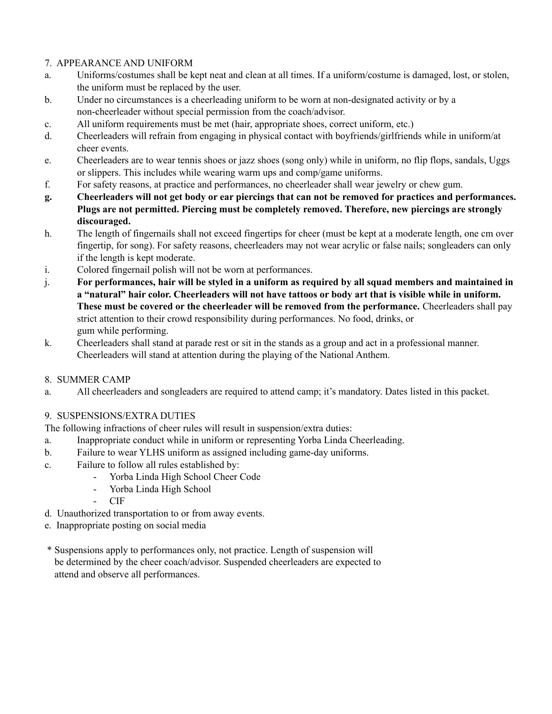# 7. APPEARANCE AND UNIFORM

- a. Uniforms/costumes shall be kept neat and clean at all times. If a uniform/costume is damaged, lost, or stolen, the uniform must be replaced by the user.
- b. Under no circumstances is a cheerleading uniform to be worn at non-designated activity or by a non-cheerleader without special permission from the coach/advisor.
- c. All uniform requirements must be met (hair, appropriate shoes, correct uniform, etc.)
- d. Cheerleaders will refrain from engaging in physical contact with boyfriends/girlfriends while in uniform/at cheer events.
- e. Cheerleaders are to wear tennis shoes or jazz shoes (song only) while in uniform, no flip flops, sandals, Uggs or slippers. This includes while wearing warm ups and comp/game uniforms.
- f. For safety reasons, at practice and performances, no cheerleader shall wear jewelry or chew gum.
- g. Cheerleaders will not get body or ear piercings that can not be removed for practices and performances. **Plugs are not permitted. Piercing must be completely removed. Therefore, new piercings are strongly discouraged.**
- h. The length of fingernails shall not exceed fingertips for cheer (must be kept at a moderate length, one cm over fingertip, for song). For safety reasons, cheerleaders may not wear acrylic or false nails; songleaders can only if the length is kept moderate.
- i. Colored fingernail polish will not be worn at performances.
- j. For performances, hair will be styled in a uniform as required by all squad members and maintained in a "natural" hair color. Cheerleaders will not have tattoos or body art that is visible while in uniform. **These must be covered or the cheerleader will be removed from the performance.** Cheerleaders shall pay strict attention to their crowd responsibility during performances. No food, drinks, or gum while performing.
- k. Cheerleaders shall stand at parade rest or sit in the stands as a group and act in a professional manner. Cheerleaders will stand at attention during the playing of the National Anthem.

# 8. SUMMER CAMP

a. All cheerleaders and songleaders are required to attend camp; it's mandatory. Dates listed in this packet.

# 9. SUSPENSIONS/EXTRA DUTIES

The following infractions of cheer rules will result in suspension/extra duties:

- a. Inappropriate conduct while in uniform or representing Yorba Linda Cheerleading.
- b. Failure to wear YLHS uniform as assigned including game-day uniforms.
- c. Failure to follow all rules established by:
	- Yorba Linda High School Cheer Code
	- Yorba Linda High School
	- CIF
- d. Unauthorized transportation to or from away events.
- e. Inappropriate posting on social media
- \* Suspensions apply to performances only, not practice. Length of suspension will be determined by the cheer coach/advisor. Suspended cheerleaders are expected to attend and observe all performances.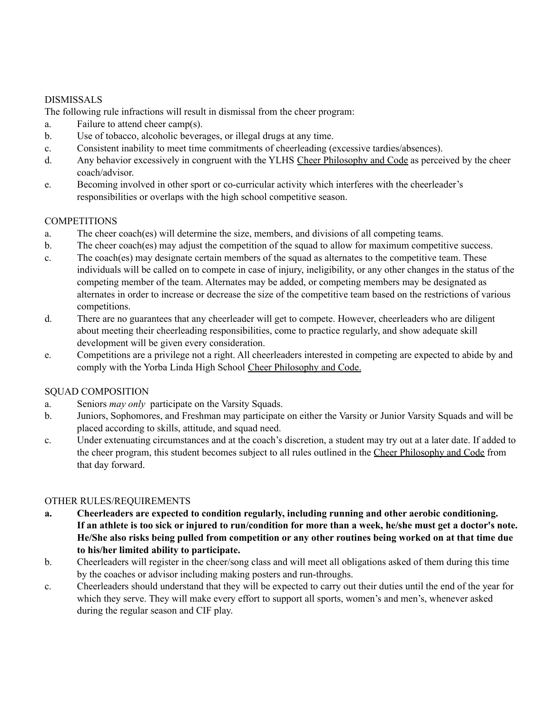# DISMISSALS

The following rule infractions will result in dismissal from the cheer program:

- a. Failure to attend cheer camp(s).
- b. Use of tobacco, alcoholic beverages, or illegal drugs at any time.
- c. Consistent inability to meet time commitments of cheerleading (excessive tardies/absences).
- d. Any behavior excessively in congruent with the YLHS Cheer Philosophy and Code as perceived by the cheer coach/advisor.
- e. Becoming involved in other sport or co-curricular activity which interferes with the cheerleader's responsibilities or overlaps with the high school competitive season.

# **COMPETITIONS**

- a. The cheer coach(es) will determine the size, members, and divisions of all competing teams.
- b. The cheer coach(es) may adjust the competition of the squad to allow for maximum competitive success.
- c. The coach(es) may designate certain members of the squad as alternates to the competitive team. These individuals will be called on to compete in case of injury, ineligibility, or any other changes in the status of the competing member of the team. Alternates may be added, or competing members may be designated as alternates in order to increase or decrease the size of the competitive team based on the restrictions of various competitions.
- d. There are no guarantees that any cheerleader will get to compete. However, cheerleaders who are diligent about meeting their cheerleading responsibilities, come to practice regularly, and show adequate skill development will be given every consideration.
- e. Competitions are a privilege not a right. All cheerleaders interested in competing are expected to abide by and comply with the Yorba Linda High School Cheer Philosophy and Code.

# SQUAD COMPOSITION

- a. Seniors *may only* participate on the Varsity Squads.
- b. Juniors, Sophomores, and Freshman may participate on either the Varsity or Junior Varsity Squads and will be placed according to skills, attitude, and squad need.
- c. Under extenuating circumstances and at the coach's discretion, a student may try out at a later date. If added to the cheer program, this student becomes subject to all rules outlined in the Cheer Philosophy and Code from that day forward.

# OTHER RULES/REQUIREMENTS

- **a. Cheerleaders are expected to condition regularly, including running and other aerobic conditioning.** If an athlete is too sick or injured to run/condition for more than a week, he/she must get a doctor's note. He/She also risks being pulled from competition or any other routines being worked on at that time due **to his/her limited ability to participate.**
- b. Cheerleaders will register in the cheer/song class and will meet all obligations asked of them during this time by the coaches or advisor including making posters and run-throughs.
- c. Cheerleaders should understand that they will be expected to carry out their duties until the end of the year for which they serve. They will make every effort to support all sports, women's and men's, whenever asked during the regular season and CIF play.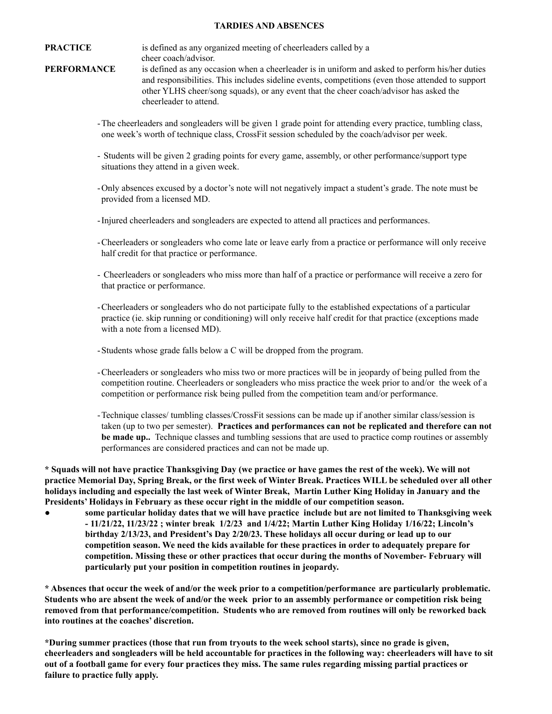### **TARDIES AND ABSENCES**

**PRACTICE** is defined as any organized meeting of cheerleaders called by a cheer coach/advisor.

- **PERFORMANCE** is defined as any occasion when a cheerleader is in uniform and asked to perform his/her duties and responsibilities. This includes sideline events, competitions (even those attended to support other YLHS cheer/song squads), or any event that the cheer coach/advisor has asked the cheerleader to attend.
	- -The cheerleaders and songleaders will be given 1 grade point for attending every practice, tumbling class, one week's worth of technique class, CrossFit session scheduled by the coach/advisor per week.
	- Students will be given 2 grading points for every game, assembly, or other performance/support type situations they attend in a given week.
	- -Only absences excused by a doctor's note will not negatively impact a student's grade. The note must be provided from a licensed MD.
	- -Injured cheerleaders and songleaders are expected to attend all practices and performances.
	- -Cheerleaders or songleaders who come late or leave early from a practice or performance will only receive half credit for that practice or performance.
	- Cheerleaders or songleaders who miss more than half of a practice or performance will receive a zero for that practice or performance.
	- -Cheerleaders or songleaders who do not participate fully to the established expectations of a particular practice (ie. skip running or conditioning) will only receive half credit for that practice (exceptions made with a note from a licensed MD).
	- -Students whose grade falls below a C will be dropped from the program.
	- -Cheerleaders or songleaders who miss two or more practices will be in jeopardy of being pulled from the competition routine. Cheerleaders or songleaders who miss practice the week prior to and/or the week of a competition or performance risk being pulled from the competition team and/or performance.
	- -Technique classes/ tumbling classes/CrossFit sessions can be made up if another similar class/session is taken (up to two per semester). **Practices and performances can not be replicated and therefore can not be made up..** Technique classes and tumbling sessions that are used to practice comp routines or assembly performances are considered practices and can not be made up.

\* Squads will not have practice Thanksgiving Day (we practice or have games the rest of the week). We will not practice Memorial Day, Spring Break, or the first week of Winter Break. Practices WILL be scheduled over all other holidays including and especially the last week of Winter Break, Martin Luther King Holiday in January and the **Presidents' Holidays in February as these occur right in the middle of our competition season.**

some particular holiday dates that we will have practice include but are not limited to Thanksgiving week **- 11/21/22, 11/23/22 ; winter break 1/2/23 and 1/4/22; Martin Luther King Holiday 1/16/22; Lincoln's birthday 2/13/23, and President's Day 2/20/23. These holidays all occur during or lead up to our competition season. We need the kids available for these practices in order to adequately prepare for competition. Missing these or other practices that occur during the months of November- February will particularly put your position in competition routines in jeopardy.**

\* Absences that occur the week of and/or the week prior to a competition/performance are particularly problematic. Students who are absent the week of and/or the week prior to an assembly performance or competition risk being **removed from that performance/competition. Students who are removed from routines will only be reworked back into routines at the coaches' discretion.**

\*During summer practices (those that run from tryouts to the week school starts), since no grade is given, cheerleaders and songleaders will be held accountable for practices in the following way: cheerleaders will have to sit out of a football game for every four practices they miss. The same rules regarding missing partial practices or **failure to practice fully apply.**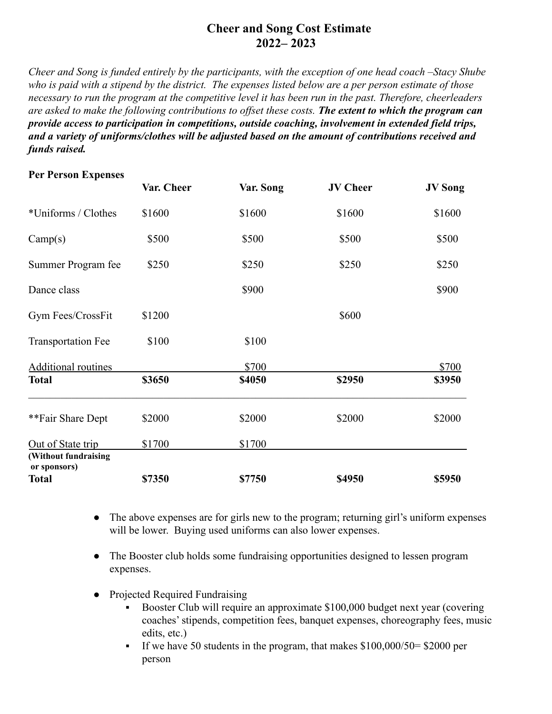# **Cheer and Song Cost Estimate 2022– 2023**

*Cheer and Song is funded entirely by the participants, with the exception of one head coach –Stacy Shube who is paid with a stipend by the district. The expenses listed below are a per person estimate of those necessary to run the program at the competitive level it has been run in the past. Therefore, cheerleaders are asked to make the following contributions to offset these costs. The extent to which the program can provide access to participation in competitions, outside coaching, involvement in extended field trips, and a variety of uniforms/clothes will be adjusted based on the amount of contributions received and funds raised.*

# **Per Person Expenses**

|                                      | Var. Cheer | Var. Song     | <b>JV Cheer</b> | <b>JV</b> Song |
|--------------------------------------|------------|---------------|-----------------|----------------|
| *Uniforms / Clothes                  | \$1600     | \$1600        | \$1600          | \$1600         |
| Camp(s)                              | \$500      | \$500         | \$500           | \$500          |
| Summer Program fee                   | \$250      | \$250         | \$250           | \$250          |
| Dance class                          |            | \$900         |                 | \$900          |
| Gym Fees/CrossFit                    | \$1200     |               | \$600           |                |
| <b>Transportation Fee</b>            | \$100      | \$100         |                 |                |
| <b>Additional routines</b>           |            | \$700         |                 | \$700          |
| <b>Total</b>                         | \$3650     | <b>\$4050</b> | \$2950          | \$3950         |
| **Fair Share Dept                    | \$2000     | \$2000        | \$2000          | \$2000         |
| Out of State trip                    | \$1700     | \$1700        |                 |                |
| (Without fundraising<br>or sponsors) |            |               |                 |                |
| <b>Total</b>                         | \$7350     | \$7750        | <b>\$4950</b>   | \$5950         |

- The above expenses are for girls new to the program; returning girl's uniform expenses will be lower. Buying used uniforms can also lower expenses.
- The Booster club holds some fundraising opportunities designed to lessen program expenses.
- Projected Required Fundraising
	- Booster Club will require an approximate \$100,000 budget next year (covering) coaches' stipends, competition fees, banquet expenses, choreography fees, music edits, etc.)
	- If we have 50 students in the program, that makes  $$100,000/50= $2000$  per person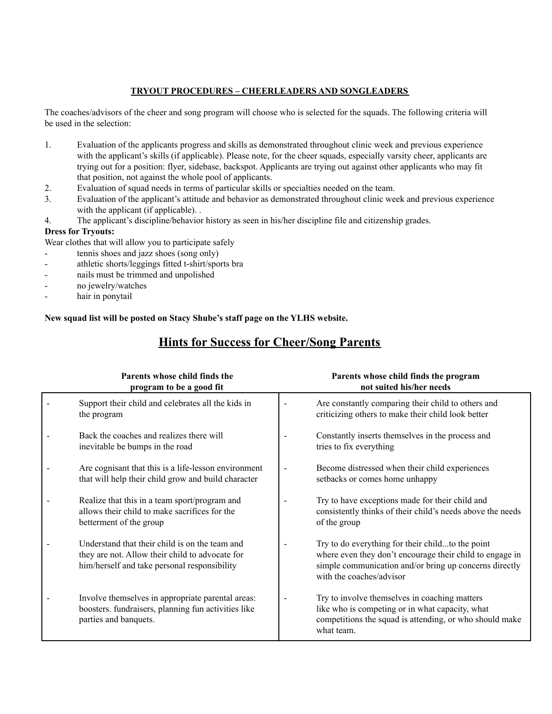### **TRYOUT PROCEDURES – CHEERLEADERS AND SONGLEADERS**

The coaches/advisors of the cheer and song program will choose who is selected for the squads. The following criteria will be used in the selection:

- 1. Evaluation of the applicants progress and skills as demonstrated throughout clinic week and previous experience with the applicant's skills (if applicable). Please note, for the cheer squads, especially varsity cheer, applicants are trying out for a position: flyer, sidebase, backspot. Applicants are trying out against other applicants who may fit that position, not against the whole pool of applicants.
- 2. Evaluation of squad needs in terms of particular skills or specialties needed on the team.
- 3. Evaluation of the applicant's attitude and behavior as demonstrated throughout clinic week and previous experience with the applicant (if applicable). .
- 4. The applicant's discipline/behavior history as seen in his/her discipline file and citizenship grades.

### **Dress for Tryouts:**

Wear clothes that will allow you to participate safely

- tennis shoes and jazz shoes (song only)
- athletic shorts/leggings fitted t-shirt/sports bra
- nails must be trimmed and unpolished
- no jewelry/watches
- hair in ponytail

**New squad list will be posted on Stacy Shube's staff page on the YLHS website.**

# **Hints for Success for Cheer/Song Parents**

| Parents whose child finds the<br>program to be a good fit                                                                                         |                          | Parents whose child finds the program<br>not suited his/her needs                                                                                                                                  |
|---------------------------------------------------------------------------------------------------------------------------------------------------|--------------------------|----------------------------------------------------------------------------------------------------------------------------------------------------------------------------------------------------|
| Support their child and celebrates all the kids in<br>the program                                                                                 |                          | Are constantly comparing their child to others and<br>criticizing others to make their child look better                                                                                           |
| Back the coaches and realizes there will<br>inevitable be bumps in the road                                                                       |                          | Constantly inserts themselves in the process and<br>tries to fix everything                                                                                                                        |
| Are cognisant that this is a life-lesson environment<br>that will help their child grow and build character                                       | $\overline{\phantom{a}}$ | Become distressed when their child experiences<br>setbacks or comes home unhappy                                                                                                                   |
| Realize that this in a team sport/program and<br>allows their child to make sacrifices for the<br>betterment of the group                         |                          | Try to have exceptions made for their child and<br>consistently thinks of their child's needs above the needs<br>of the group                                                                      |
| Understand that their child is on the team and<br>they are not. Allow their child to advocate for<br>him/herself and take personal responsibility |                          | Try to do everything for their childto the point<br>where even they don't encourage their child to engage in<br>simple communication and/or bring up concerns directly<br>with the coaches/advisor |
| Involve themselves in appropriate parental areas:<br>boosters. fundraisers, planning fun activities like<br>parties and banquets.                 | $\overline{\phantom{0}}$ | Try to involve themselves in coaching matters<br>like who is competing or in what capacity, what<br>competitions the squad is attending, or who should make<br>what team.                          |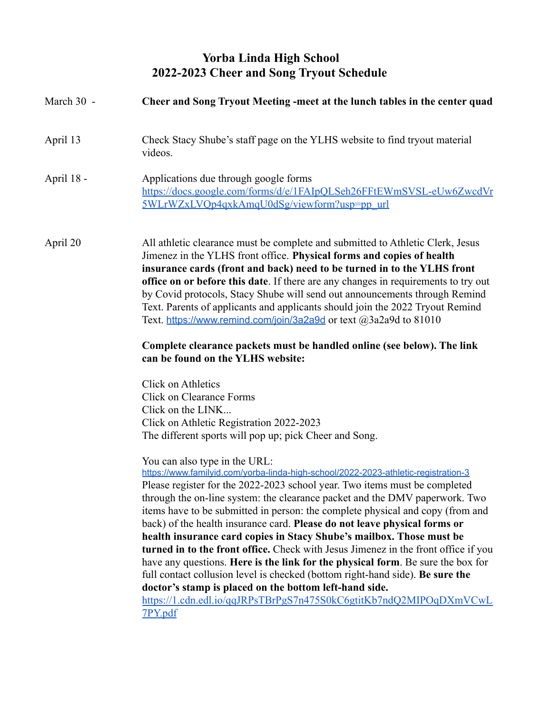# **Yorba Linda High School 2022-2023 Cheer and Song Tryout Schedule**

| March 30 - | Cheer and Song Tryout Meeting -meet at the lunch tables in the center quad                                                                                                                                                                                                                                                                                                                                                                                                                                                                                                                                                                                                                                  |  |  |
|------------|-------------------------------------------------------------------------------------------------------------------------------------------------------------------------------------------------------------------------------------------------------------------------------------------------------------------------------------------------------------------------------------------------------------------------------------------------------------------------------------------------------------------------------------------------------------------------------------------------------------------------------------------------------------------------------------------------------------|--|--|
| April 13   | Check Stacy Shube's staff page on the YLHS website to find tryout material<br>videos.                                                                                                                                                                                                                                                                                                                                                                                                                                                                                                                                                                                                                       |  |  |
| April 18 - | Applications due through google forms<br>https://docs.google.com/forms/d/e/1FAIpQLSeh26FFtEWmSVSL-eUw6ZwcdVr<br>5WLrWZxLVQp4qxkAmqU0dSg/viewform?usp=pp_url                                                                                                                                                                                                                                                                                                                                                                                                                                                                                                                                                 |  |  |
| April 20   | All athletic clearance must be complete and submitted to Athletic Clerk, Jesus<br>Jimenez in the YLHS front office. Physical forms and copies of health<br>insurance cards (front and back) need to be turned in to the YLHS front<br>office on or before this date. If there are any changes in requirements to try out<br>by Covid protocols, Stacy Shube will send out announcements through Remind<br>Text. Parents of applicants and applicants should join the 2022 Tryout Remind<br>Text. https://www.remind.com/join/3a2a9d or text $@3a2a9d$ to 81010                                                                                                                                              |  |  |
|            | Complete clearance packets must be handled online (see below). The link<br>can be found on the YLHS website:                                                                                                                                                                                                                                                                                                                                                                                                                                                                                                                                                                                                |  |  |
|            | Click on Athletics<br><b>Click on Clearance Forms</b><br>Click on the LINK<br>Click on Athletic Registration 2022-2023<br>The different sports will pop up; pick Cheer and Song.<br>You can also type in the URL:<br>https://www.familyid.com/yorba-linda-high-school/2022-2023-athletic-registration-3<br>Please register for the 2022-2023 school year. Two items must be completed<br>through the on-line system: the clearance packet and the DMV paperwork. Two<br>items have to be submitted in person: the complete physical and copy (from and<br>back) of the health insurance card. Please do not leave physical forms or<br>health insurance card copies in Stacy Shube's mailbox. Those must be |  |  |
|            | turned in to the front office. Check with Jesus Jimenez in the front office if you<br>have any questions. Here is the link for the physical form. Be sure the box for<br>full contact collusion level is checked (bottom right-hand side). Be sure the<br>doctor's stamp is placed on the bottom left-hand side.<br>https://1.cdn.edl.io/qqJRPsTBrPgS7n475S0kC6gtitKb7ndQ2MIPOqDXmVCwL<br>7PY.pdf                                                                                                                                                                                                                                                                                                           |  |  |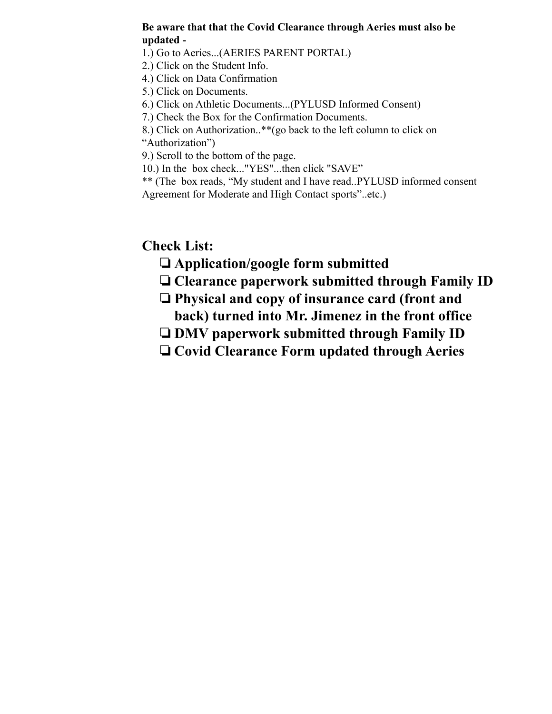# **Be aware that that the Covid Clearance through Aeries must also be updated -**

1.) Go to Aeries...(AERIES PARENT PORTAL)

2.) Click on the Student Info.

4.) Click on Data Confirmation

5.) Click on Documents.

6.) Click on Athletic Documents...(PYLUSD Informed Consent)

7.) Check the Box for the Confirmation Documents.

8.) Click on Authorization..\*\*(go back to the left column to click on "Authorization")

9.) Scroll to the bottom of the page.

10.) In the box check..."YES"...then click "SAVE"

\*\* (The box reads, "My student and I have read..PYLUSD informed consent Agreement for Moderate and High Contact sports"..etc.)

**Check List:**

- ❏**Application/google form submitted**
- ❏**Clearance paperwork submitted through Family ID**
- ❏**Physical and copy of insurance card (front and back) turned into Mr. Jimenez in the front office**
- ❏**DMV paperwork submitted through Family ID**
- ❏**Covid Clearance Form updated through Aeries**